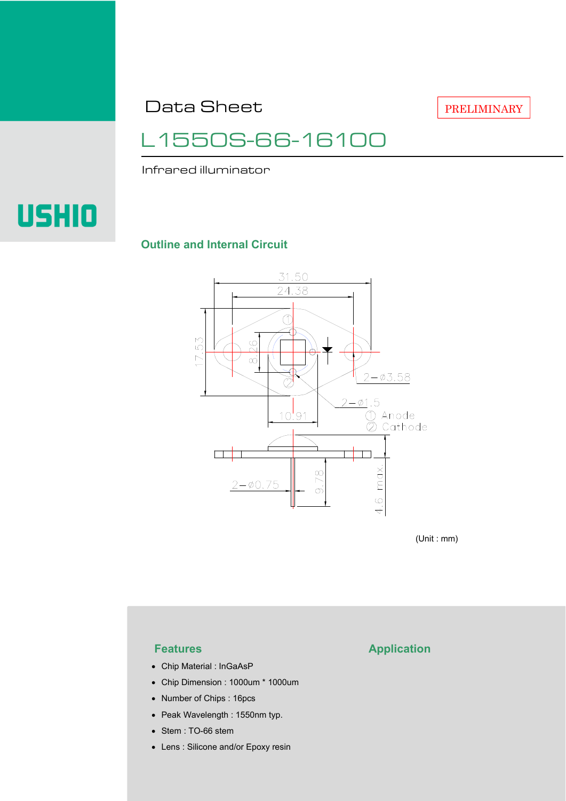Data Sheet

PRELIMINARY

## L1550S-66-16100

Infrared illuminator

# **USHIO**

#### **Outline and Internal Circuit**



(Unit : mm)

- Chip Material : InGaAsP
- Chip Dimension : 1000um \* 1000um
- Number of Chips : 16pcs
- Peak Wavelength : 1550nm typ.
- Stem : TO-66 stem
- Lens : Silicone and/or Epoxy resin

### **Features Application**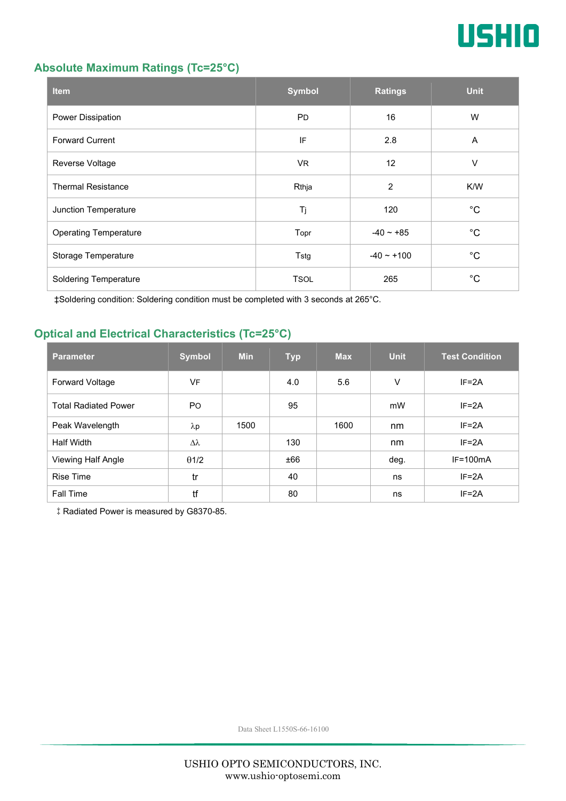

#### **Absolute Maximum Ratings (Tc=25°C)**

| <b>Item</b>                  | <b>Symbol</b> | <b>Ratings</b>  | <b>Unit</b> |
|------------------------------|---------------|-----------------|-------------|
| Power Dissipation            | <b>PD</b>     | 16              | W           |
| <b>Forward Current</b>       | IF            | 2.8             | A           |
| Reverse Voltage              | <b>VR</b>     | 12              | V           |
| <b>Thermal Resistance</b>    | Rthja         | $\overline{2}$  | K/W         |
| Junction Temperature         | Tj            | 120             | $^{\circ}C$ |
| <b>Operating Temperature</b> | Topr          | $-40 \sim +85$  | $^{\circ}C$ |
| Storage Temperature          | Tstg          | $-40 \sim +100$ | $^{\circ}C$ |
| <b>Soldering Temperature</b> | <b>TSOL</b>   | 265             | $^{\circ}C$ |

‡Soldering condition: Soldering condition must be completed with 3 seconds at 265°C.

#### **Optical and Electrical Characteristics (Tc=25°C)**

| <b>Parameter</b>            | <b>Symbol</b> | <b>Min</b> | <b>Typ</b> | <b>Max</b> | <b>Unit</b> | <b>Test Condition</b> |
|-----------------------------|---------------|------------|------------|------------|-------------|-----------------------|
| <b>Forward Voltage</b>      | VF            |            | 4.0        | 5.6        | V           | $IF = 2A$             |
| <b>Total Radiated Power</b> | <b>PO</b>     |            | 95         |            | mW          | $IF = 2A$             |
| Peak Wavelength             | $\lambda p$   | 1500       |            | 1600       | nm          | $IF = 2A$             |
| Half Width                  | Δλ            |            | 130        |            | nm          | $IF = 2A$             |
| Viewing Half Angle          | $\theta$ 1/2  |            | ±66        |            | deg.        | $IF=100mA$            |
| <b>Rise Time</b>            | tr            |            | 40         |            | ns          | $IF = 2A$             |
| <b>Fall Time</b>            | tf            |            | 80         |            | ns          | $IF = 2A$             |

‡Radiated Power is measured by G8370-85.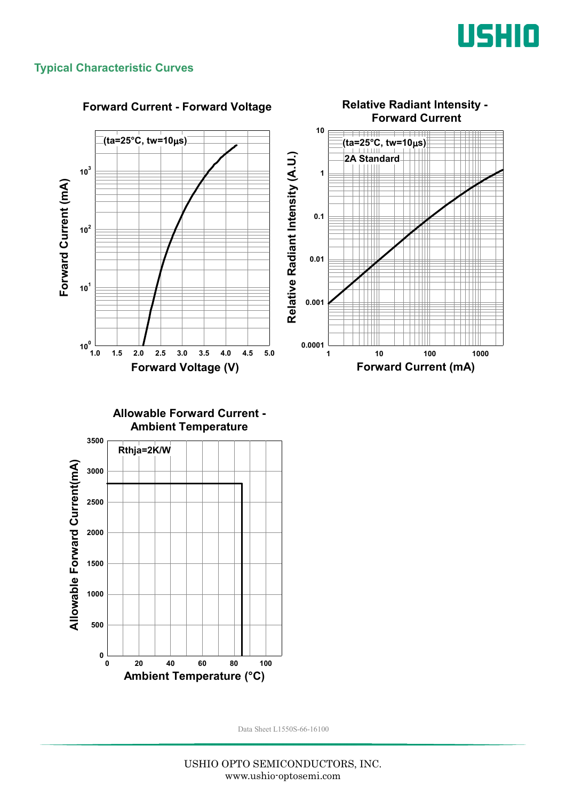

#### **Typical Characteristic Curves**



#### **Forward Current - Forward Voltage**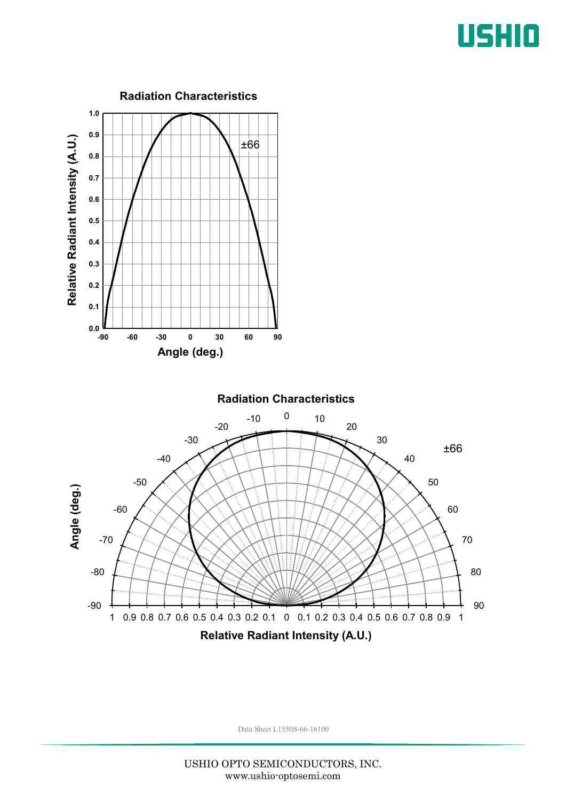## USHIO

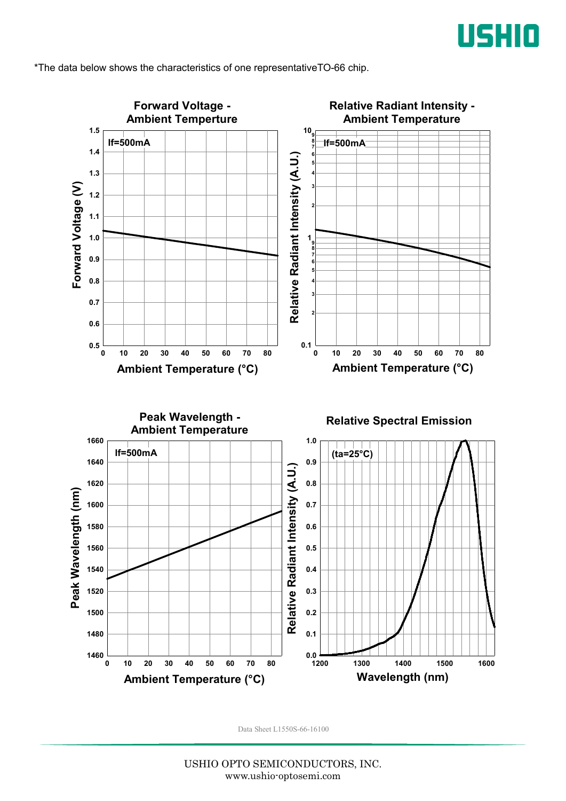

\*The data below shows the characteristics of one representativeTO-66 chip.